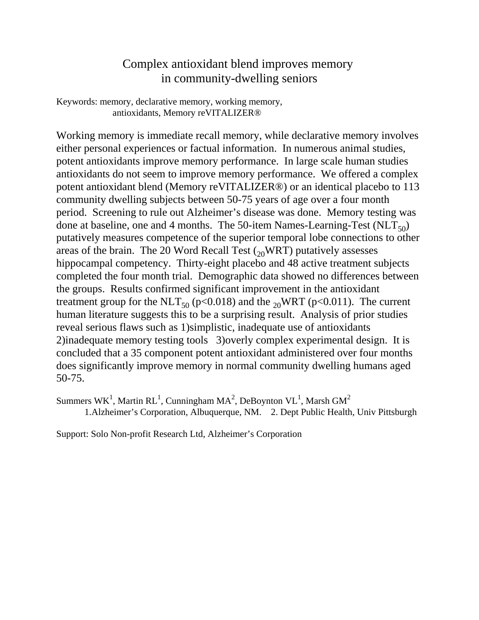## Complex antioxidant blend improves memory in community-dwelling seniors

Keywords: memory, declarative memory, working memory, antioxidants, Memory reVITALIZER®

Working memory is immediate recall memory, while declarative memory involves either personal experiences or factual information. In numerous animal studies, potent antioxidants improve memory performance. In large scale human studies antioxidants do not seem to improve memory performance. We offered a complex potent antioxidant blend (Memory reVITALIZER®) or an identical placebo to 113 community dwelling subjects between 50-75 years of age over a four month period. Screening to rule out Alzheimer's disease was done. Memory testing was done at baseline, one and 4 months. The 50-item Names-Learning-Test  $(NLT_{50})$ putatively measures competence of the superior temporal lobe connections to other areas of the brain. The 20 Word Recall Test  $\binom{20}{20}$  WRT) putatively assesses hippocampal competency. Thirty-eight placebo and 48 active treatment subjects completed the four month trial. Demographic data showed no differences between the groups. Results confirmed significant improvement in the antioxidant treatment group for the NLT<sub>50</sub> (p<0.018) and the <sub>20</sub>WRT (p<0.011). The current human literature suggests this to be a surprising result. Analysis of prior studies reveal serious flaws such as 1)simplistic, inadequate use of antioxidants 2)inadequate memory testing tools 3)overly complex experimental design. It is concluded that a 35 component potent antioxidant administered over four months does significantly improve memory in normal community dwelling humans aged 50-75.

Summers WK<sup>1</sup>, Martin RL<sup>1</sup>, Cunningham MA<sup>2</sup>, DeBoynton VL<sup>1</sup>, Marsh GM<sup>2</sup> 1.Alzheimer's Corporation, Albuquerque, NM. 2. Dept Public Health, Univ Pittsburgh

Support: Solo Non-profit Research Ltd, Alzheimer's Corporation